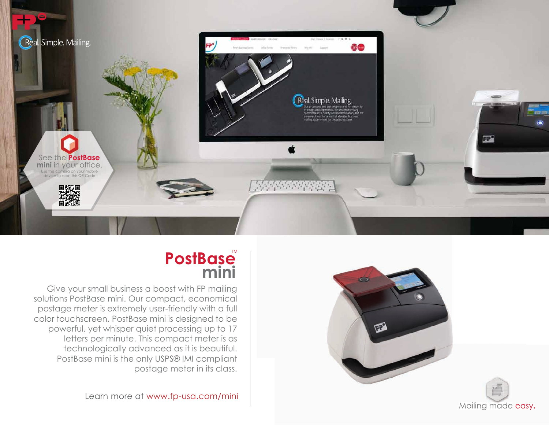

# **PostBase mini**

Give your small business a boost with FP mailing solutions PostBase mini. Our compact, economical postage meter is extremely user-friendly with a full color touchscreen. PostBase mini is designed to be powerful, yet whisper quiet processing up to 17 letters per minute. This compact meter is as technologically advanced as it is beautiful. PostBase mini is the only USPS® IMI compliant postage meter in its class.

Learn more at www.fp-usa.com/mini